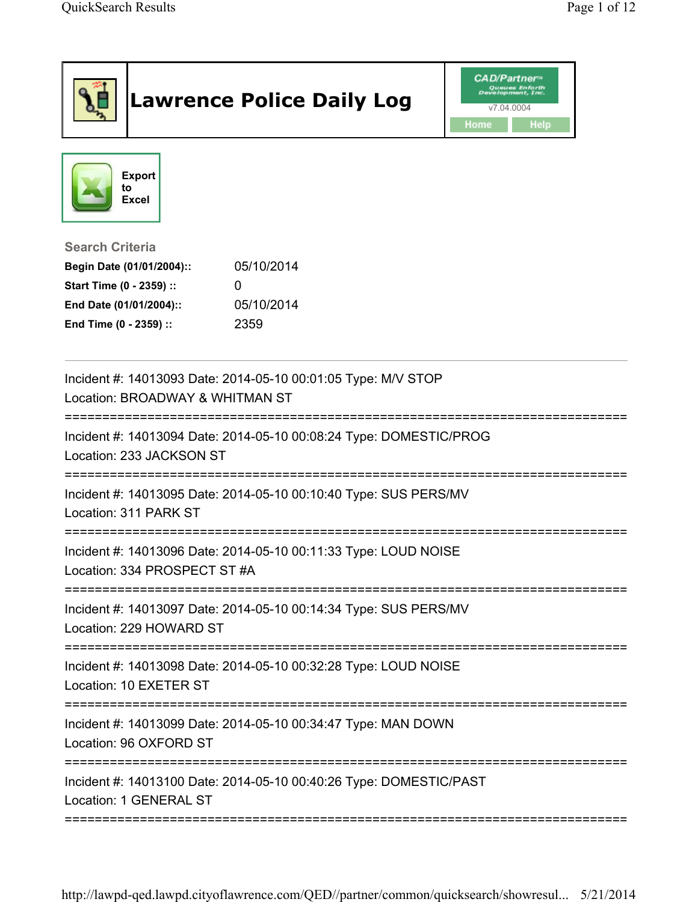| <b>Export</b><br>to<br><b>Excel</b><br><b>Search Criteria</b><br>05/10/2014<br>Begin Date (01/01/2004)::<br>Start Time (0 - 2359) ::<br>$\Omega$<br>05/10/2014<br>End Date (01/01/2004)::<br>End Time (0 - 2359) ::<br>2359<br>Incident #: 14013093 Date: 2014-05-10 00:01:05 Type: M/V STOP<br>Location: BROADWAY & WHITMAN ST<br>Incident #: 14013094 Date: 2014-05-10 00:08:24 Type: DOMESTIC/PROG<br>Location: 233 JACKSON ST<br>Incident #: 14013095 Date: 2014-05-10 00:10:40 Type: SUS PERS/MV<br>Location: 311 PARK ST<br>Incident #: 14013096 Date: 2014-05-10 00:11:33 Type: LOUD NOISE<br>Location: 334 PROSPECT ST #A<br>Incident #: 14013097 Date: 2014-05-10 00:14:34 Type: SUS PERS/MV<br>Incident #: 14013098 Date: 2014-05-10 00:32:28 Type: LOUD NOISE<br>Location: 10 EXETER ST<br>Incident #: 14013099 Date: 2014-05-10 00:34:47 Type: MAN DOWN<br>Location: 96 OXFORD ST<br>Incident #: 14013100 Date: 2014-05-10 00:40:26 Type: DOMESTIC/PAST<br>Location: 1 GENERAL ST |                         | <b>Lawrence Police Daily Log</b> | <b>CAD/Partner</b> "<br>v7.04.0004<br>Home<br><b>Help</b> |
|-----------------------------------------------------------------------------------------------------------------------------------------------------------------------------------------------------------------------------------------------------------------------------------------------------------------------------------------------------------------------------------------------------------------------------------------------------------------------------------------------------------------------------------------------------------------------------------------------------------------------------------------------------------------------------------------------------------------------------------------------------------------------------------------------------------------------------------------------------------------------------------------------------------------------------------------------------------------------------------------------|-------------------------|----------------------------------|-----------------------------------------------------------|
|                                                                                                                                                                                                                                                                                                                                                                                                                                                                                                                                                                                                                                                                                                                                                                                                                                                                                                                                                                                               |                         |                                  |                                                           |
|                                                                                                                                                                                                                                                                                                                                                                                                                                                                                                                                                                                                                                                                                                                                                                                                                                                                                                                                                                                               |                         |                                  |                                                           |
|                                                                                                                                                                                                                                                                                                                                                                                                                                                                                                                                                                                                                                                                                                                                                                                                                                                                                                                                                                                               |                         |                                  |                                                           |
|                                                                                                                                                                                                                                                                                                                                                                                                                                                                                                                                                                                                                                                                                                                                                                                                                                                                                                                                                                                               |                         |                                  |                                                           |
|                                                                                                                                                                                                                                                                                                                                                                                                                                                                                                                                                                                                                                                                                                                                                                                                                                                                                                                                                                                               |                         |                                  |                                                           |
|                                                                                                                                                                                                                                                                                                                                                                                                                                                                                                                                                                                                                                                                                                                                                                                                                                                                                                                                                                                               |                         |                                  |                                                           |
|                                                                                                                                                                                                                                                                                                                                                                                                                                                                                                                                                                                                                                                                                                                                                                                                                                                                                                                                                                                               |                         |                                  |                                                           |
|                                                                                                                                                                                                                                                                                                                                                                                                                                                                                                                                                                                                                                                                                                                                                                                                                                                                                                                                                                                               |                         |                                  |                                                           |
|                                                                                                                                                                                                                                                                                                                                                                                                                                                                                                                                                                                                                                                                                                                                                                                                                                                                                                                                                                                               |                         |                                  |                                                           |
|                                                                                                                                                                                                                                                                                                                                                                                                                                                                                                                                                                                                                                                                                                                                                                                                                                                                                                                                                                                               |                         |                                  |                                                           |
|                                                                                                                                                                                                                                                                                                                                                                                                                                                                                                                                                                                                                                                                                                                                                                                                                                                                                                                                                                                               | Location: 229 HOWARD ST |                                  |                                                           |
|                                                                                                                                                                                                                                                                                                                                                                                                                                                                                                                                                                                                                                                                                                                                                                                                                                                                                                                                                                                               |                         |                                  |                                                           |
|                                                                                                                                                                                                                                                                                                                                                                                                                                                                                                                                                                                                                                                                                                                                                                                                                                                                                                                                                                                               |                         |                                  |                                                           |
|                                                                                                                                                                                                                                                                                                                                                                                                                                                                                                                                                                                                                                                                                                                                                                                                                                                                                                                                                                                               |                         |                                  |                                                           |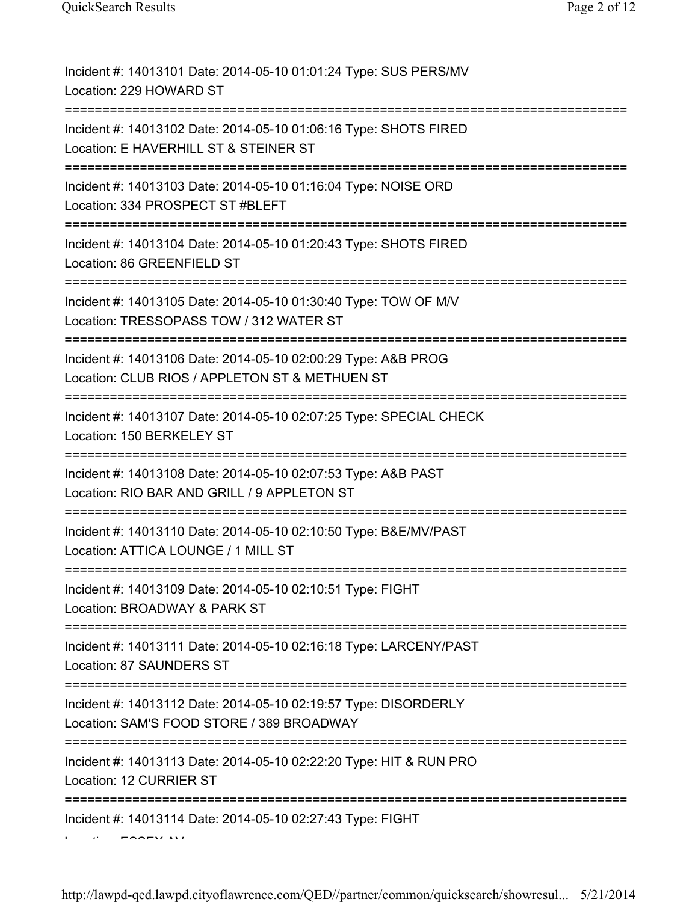| Incident #: 14013101 Date: 2014-05-10 01:01:24 Type: SUS PERS/MV<br>Location: 229 HOWARD ST                                                     |
|-------------------------------------------------------------------------------------------------------------------------------------------------|
| Incident #: 14013102 Date: 2014-05-10 01:06:16 Type: SHOTS FIRED<br>Location: E HAVERHILL ST & STEINER ST                                       |
| Incident #: 14013103 Date: 2014-05-10 01:16:04 Type: NOISE ORD<br>Location: 334 PROSPECT ST #BLEFT<br>:========================                 |
| Incident #: 14013104 Date: 2014-05-10 01:20:43 Type: SHOTS FIRED<br>Location: 86 GREENFIELD ST                                                  |
| Incident #: 14013105 Date: 2014-05-10 01:30:40 Type: TOW OF M/V<br>Location: TRESSOPASS TOW / 312 WATER ST                                      |
| Incident #: 14013106 Date: 2014-05-10 02:00:29 Type: A&B PROG<br>Location: CLUB RIOS / APPLETON ST & METHUEN ST<br>:=========================== |
| Incident #: 14013107 Date: 2014-05-10 02:07:25 Type: SPECIAL CHECK<br>Location: 150 BERKELEY ST                                                 |
| Incident #: 14013108 Date: 2014-05-10 02:07:53 Type: A&B PAST<br>Location: RIO BAR AND GRILL / 9 APPLETON ST                                    |
| Incident #: 14013110 Date: 2014-05-10 02:10:50 Type: B&E/MV/PAST<br>Location: ATTICA LOUNGE / 1 MILL ST                                         |
| Incident #: 14013109 Date: 2014-05-10 02:10:51 Type: FIGHT<br>Location: BROADWAY & PARK ST                                                      |
| Incident #: 14013111 Date: 2014-05-10 02:16:18 Type: LARCENY/PAST<br>Location: 87 SAUNDERS ST                                                   |
| Incident #: 14013112 Date: 2014-05-10 02:19:57 Type: DISORDERLY<br>Location: SAM'S FOOD STORE / 389 BROADWAY                                    |
| Incident #: 14013113 Date: 2014-05-10 02:22:20 Type: HIT & RUN PRO<br>Location: 12 CURRIER ST                                                   |
| Incident #: 14013114 Date: 2014-05-10 02:27:43 Type: FIGHT                                                                                      |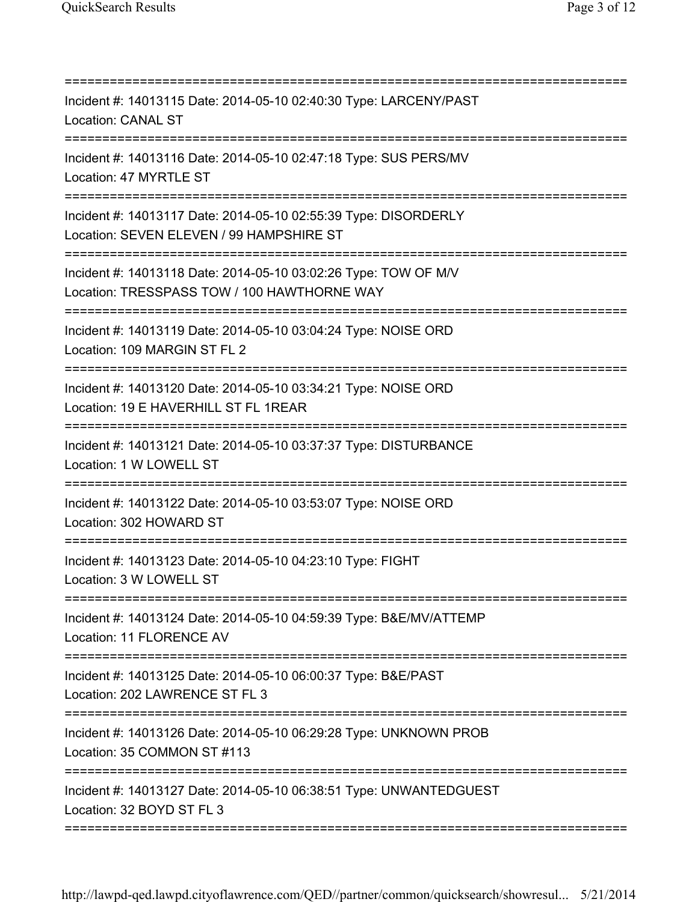| Incident #: 14013115 Date: 2014-05-10 02:40:30 Type: LARCENY/PAST<br><b>Location: CANAL ST</b>                                                |
|-----------------------------------------------------------------------------------------------------------------------------------------------|
| Incident #: 14013116 Date: 2014-05-10 02:47:18 Type: SUS PERS/MV<br>Location: 47 MYRTLE ST                                                    |
| Incident #: 14013117 Date: 2014-05-10 02:55:39 Type: DISORDERLY<br>Location: SEVEN ELEVEN / 99 HAMPSHIRE ST                                   |
| Incident #: 14013118 Date: 2014-05-10 03:02:26 Type: TOW OF M/V<br>Location: TRESSPASS TOW / 100 HAWTHORNE WAY                                |
| Incident #: 14013119 Date: 2014-05-10 03:04:24 Type: NOISE ORD<br>Location: 109 MARGIN ST FL 2                                                |
| ===================================<br>Incident #: 14013120 Date: 2014-05-10 03:34:21 Type: NOISE ORD<br>Location: 19 E HAVERHILL ST FL 1REAR |
| ===========<br>Incident #: 14013121 Date: 2014-05-10 03:37:37 Type: DISTURBANCE<br>Location: 1 W LOWELL ST                                    |
| Incident #: 14013122 Date: 2014-05-10 03:53:07 Type: NOISE ORD<br>Location: 302 HOWARD ST                                                     |
| Incident #: 14013123 Date: 2014-05-10 04:23:10 Type: FIGHT<br>Location: 3 W LOWELL ST                                                         |
| Incident #: 14013124 Date: 2014-05-10 04:59:39 Type: B&E/MV/ATTEMP<br>Location: 11 FLORENCE AV                                                |
| Incident #: 14013125 Date: 2014-05-10 06:00:37 Type: B&E/PAST<br>Location: 202 LAWRENCE ST FL 3                                               |
| Incident #: 14013126 Date: 2014-05-10 06:29:28 Type: UNKNOWN PROB<br>Location: 35 COMMON ST #113                                              |
| Incident #: 14013127 Date: 2014-05-10 06:38:51 Type: UNWANTEDGUEST<br>Location: 32 BOYD ST FL 3                                               |
|                                                                                                                                               |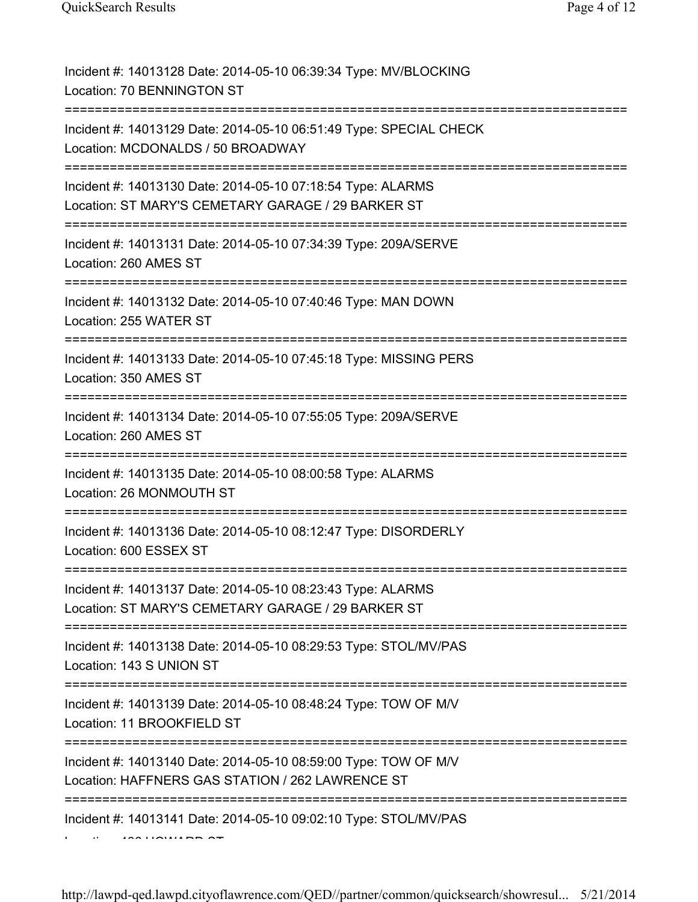| Incident #: 14013128 Date: 2014-05-10 06:39:34 Type: MV/BLOCKING<br>Location: 70 BENNINGTON ST                                               |
|----------------------------------------------------------------------------------------------------------------------------------------------|
| Incident #: 14013129 Date: 2014-05-10 06:51:49 Type: SPECIAL CHECK<br>Location: MCDONALDS / 50 BROADWAY<br>================================= |
| Incident #: 14013130 Date: 2014-05-10 07:18:54 Type: ALARMS<br>Location: ST MARY'S CEMETARY GARAGE / 29 BARKER ST                            |
| Incident #: 14013131 Date: 2014-05-10 07:34:39 Type: 209A/SERVE<br>Location: 260 AMES ST                                                     |
| Incident #: 14013132 Date: 2014-05-10 07:40:46 Type: MAN DOWN<br>Location: 255 WATER ST                                                      |
| Incident #: 14013133 Date: 2014-05-10 07:45:18 Type: MISSING PERS<br>Location: 350 AMES ST                                                   |
| Incident #: 14013134 Date: 2014-05-10 07:55:05 Type: 209A/SERVE<br>Location: 260 AMES ST                                                     |
| Incident #: 14013135 Date: 2014-05-10 08:00:58 Type: ALARMS<br>Location: 26 MONMOUTH ST                                                      |
| Incident #: 14013136 Date: 2014-05-10 08:12:47 Type: DISORDERLY<br>Location: 600 ESSEX ST                                                    |
| Incident #: 14013137 Date: 2014-05-10 08:23:43 Type: ALARMS<br>Location: ST MARY'S CEMETARY GARAGE / 29 BARKER ST                            |
| Incident #: 14013138 Date: 2014-05-10 08:29:53 Type: STOL/MV/PAS<br>Location: 143 S UNION ST                                                 |
| Incident #: 14013139 Date: 2014-05-10 08:48:24 Type: TOW OF M/V<br>Location: 11 BROOKFIELD ST                                                |
| Incident #: 14013140 Date: 2014-05-10 08:59:00 Type: TOW OF M/V<br>Location: HAFFNERS GAS STATION / 262 LAWRENCE ST                          |
| Incident #: 14013141 Date: 2014-05-10 09:02:10 Type: STOL/MV/PAS                                                                             |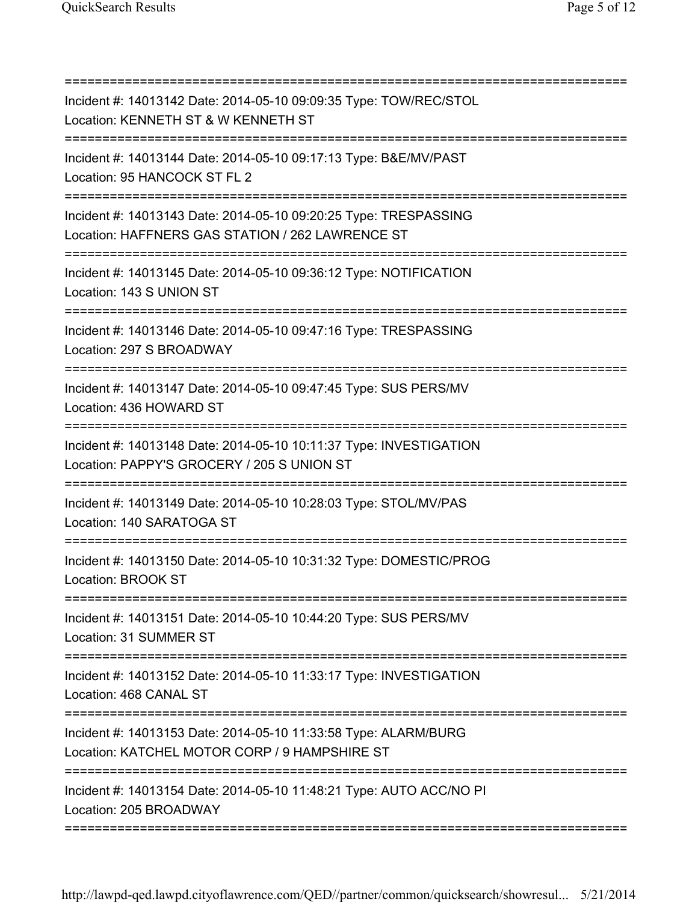=========================================================================== Incident #: 14013142 Date: 2014-05-10 09:09:35 Type: TOW/REC/STOL Location: KENNETH ST & W KENNETH ST =========================================================================== Incident #: 14013144 Date: 2014-05-10 09:17:13 Type: B&E/MV/PAST Location: 95 HANCOCK ST FL 2 =========================================================================== Incident #: 14013143 Date: 2014-05-10 09:20:25 Type: TRESPASSING Location: HAFFNERS GAS STATION / 262 LAWRENCE ST =========================================================================== Incident #: 14013145 Date: 2014-05-10 09:36:12 Type: NOTIFICATION Location: 143 S UNION ST =========================================================================== Incident #: 14013146 Date: 2014-05-10 09:47:16 Type: TRESPASSING Location: 297 S BROADWAY =========================================================================== Incident #: 14013147 Date: 2014-05-10 09:47:45 Type: SUS PERS/MV Location: 436 HOWARD ST =========================================================================== Incident #: 14013148 Date: 2014-05-10 10:11:37 Type: INVESTIGATION Location: PAPPY'S GROCERY / 205 S UNION ST =========================================================================== Incident #: 14013149 Date: 2014-05-10 10:28:03 Type: STOL/MV/PAS Location: 140 SARATOGA ST =========================================================================== Incident #: 14013150 Date: 2014-05-10 10:31:32 Type: DOMESTIC/PROG Location: BROOK ST =========================================================================== Incident #: 14013151 Date: 2014-05-10 10:44:20 Type: SUS PERS/MV Location: 31 SUMMER ST =========================================================================== Incident #: 14013152 Date: 2014-05-10 11:33:17 Type: INVESTIGATION Location: 468 CANAL ST =========================================================================== Incident #: 14013153 Date: 2014-05-10 11:33:58 Type: ALARM/BURG Location: KATCHEL MOTOR CORP / 9 HAMPSHIRE ST =========================================================================== Incident #: 14013154 Date: 2014-05-10 11:48:21 Type: AUTO ACC/NO PI Location: 205 BROADWAY ===========================================================================

http://lawpd-qed.lawpd.cityoflawrence.com/QED//partner/common/quicksearch/showresul... 5/21/2014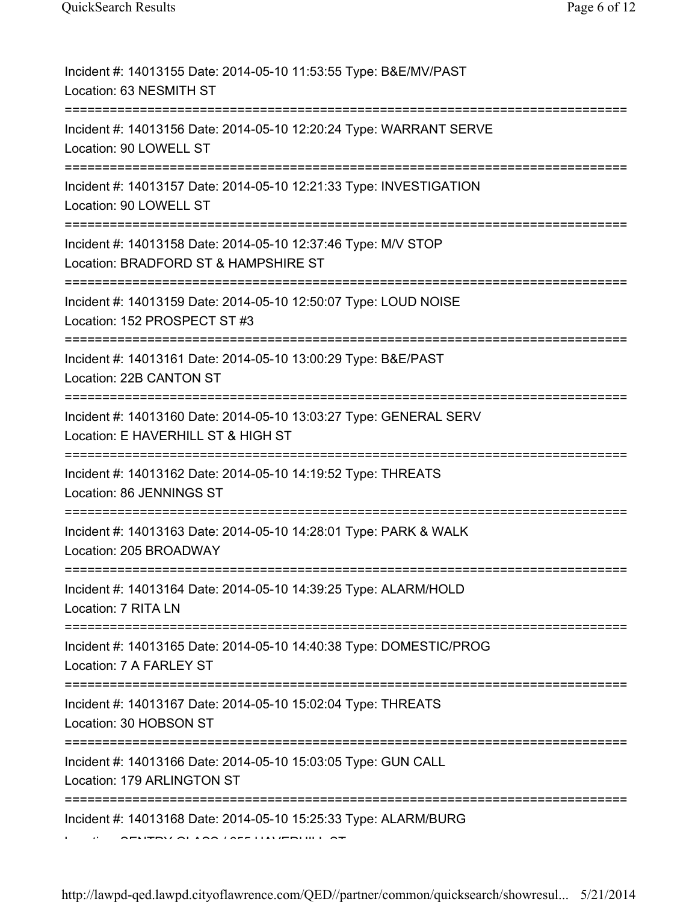http://lawpd-qed.lawpd.cityoflawrence.com/QED//partner/common/quicksearch/showresul... 5/21/2014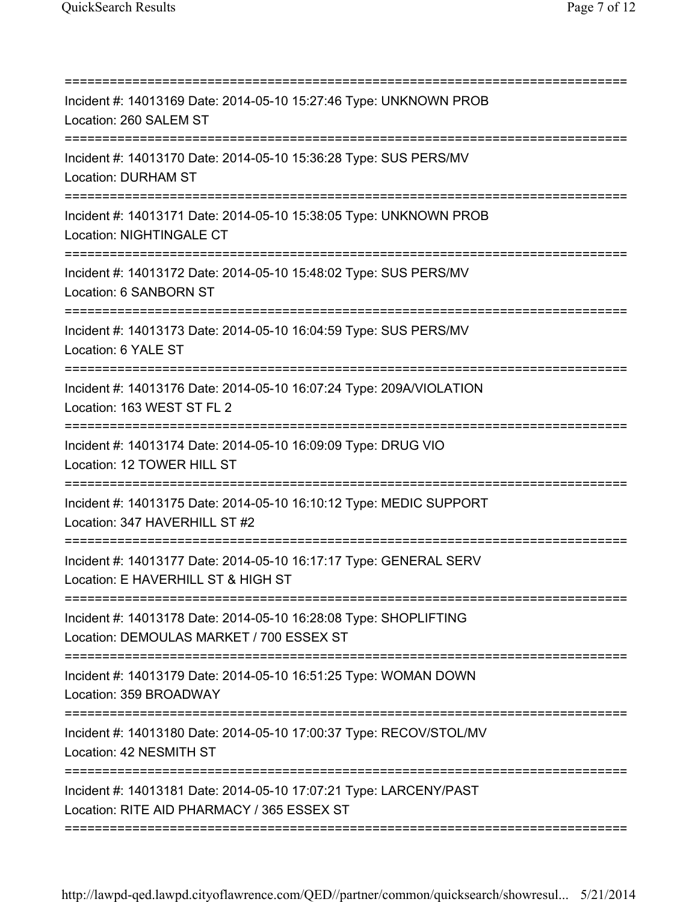| Incident #: 14013169 Date: 2014-05-10 15:27:46 Type: UNKNOWN PROB<br>Location: 260 SALEM ST                                                              |
|----------------------------------------------------------------------------------------------------------------------------------------------------------|
| Incident #: 14013170 Date: 2014-05-10 15:36:28 Type: SUS PERS/MV<br><b>Location: DURHAM ST</b>                                                           |
| Incident #: 14013171 Date: 2014-05-10 15:38:05 Type: UNKNOWN PROB<br>Location: NIGHTINGALE CT                                                            |
| Incident #: 14013172 Date: 2014-05-10 15:48:02 Type: SUS PERS/MV<br>Location: 6 SANBORN ST<br>======================================                     |
| Incident #: 14013173 Date: 2014-05-10 16:04:59 Type: SUS PERS/MV<br>Location: 6 YALE ST<br>-----------------------                                       |
| Incident #: 14013176 Date: 2014-05-10 16:07:24 Type: 209A/VIOLATION<br>Location: 163 WEST ST FL 2<br>;====================================               |
| Incident #: 14013174 Date: 2014-05-10 16:09:09 Type: DRUG VIO<br>Location: 12 TOWER HILL ST                                                              |
| Incident #: 14013175 Date: 2014-05-10 16:10:12 Type: MEDIC SUPPORT<br>Location: 347 HAVERHILL ST #2                                                      |
| Incident #: 14013177 Date: 2014-05-10 16:17:17 Type: GENERAL SERV<br>Location: E HAVERHILL ST & HIGH ST                                                  |
| Incident #: 14013178 Date: 2014-05-10 16:28:08 Type: SHOPLIFTING<br>Location: DEMOULAS MARKET / 700 ESSEX ST                                             |
| Incident #: 14013179 Date: 2014-05-10 16:51:25 Type: WOMAN DOWN<br>Location: 359 BROADWAY                                                                |
| Incident #: 14013180 Date: 2014-05-10 17:00:37 Type: RECOV/STOL/MV<br>Location: 42 NESMITH ST                                                            |
| -------------------------------------<br>Incident #: 14013181 Date: 2014-05-10 17:07:21 Type: LARCENY/PAST<br>Location: RITE AID PHARMACY / 365 ESSEX ST |
|                                                                                                                                                          |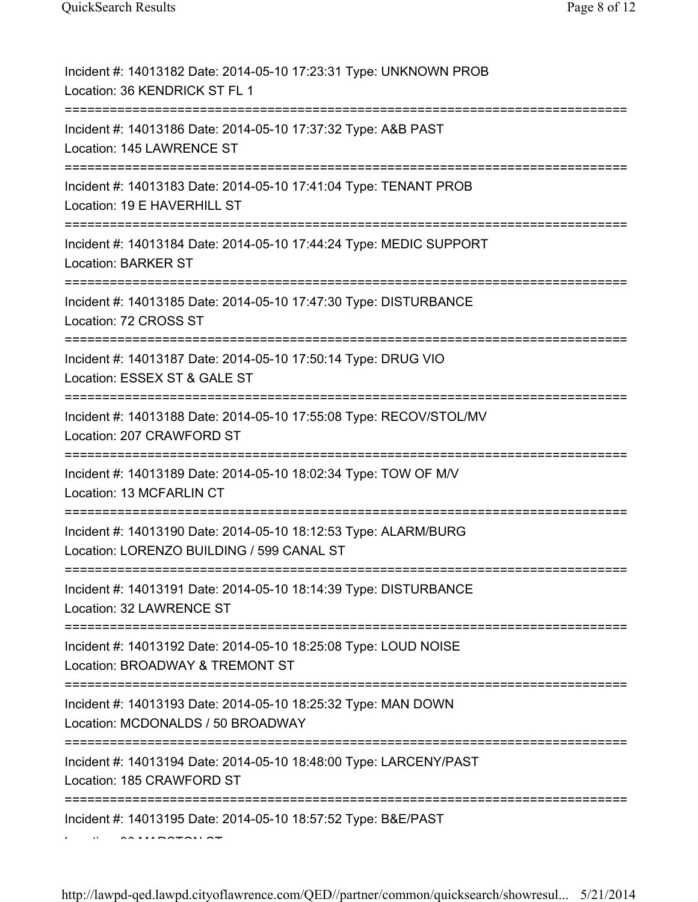| Incident #: 14013182 Date: 2014-05-10 17:23:31 Type: UNKNOWN PROB<br>Location: 36 KENDRICK ST FL 1                                        |
|-------------------------------------------------------------------------------------------------------------------------------------------|
| Incident #: 14013186 Date: 2014-05-10 17:37:32 Type: A&B PAST<br>Location: 145 LAWRENCE ST                                                |
| Incident #: 14013183 Date: 2014-05-10 17:41:04 Type: TENANT PROB<br>Location: 19 E HAVERHILL ST                                           |
| Incident #: 14013184 Date: 2014-05-10 17:44:24 Type: MEDIC SUPPORT<br><b>Location: BARKER ST</b><br>;==================================== |
| Incident #: 14013185 Date: 2014-05-10 17:47:30 Type: DISTURBANCE<br>Location: 72 CROSS ST                                                 |
| Incident #: 14013187 Date: 2014-05-10 17:50:14 Type: DRUG VIO<br>Location: ESSEX ST & GALE ST                                             |
| Incident #: 14013188 Date: 2014-05-10 17:55:08 Type: RECOV/STOL/MV<br>Location: 207 CRAWFORD ST                                           |
| Incident #: 14013189 Date: 2014-05-10 18:02:34 Type: TOW OF M/V<br>Location: 13 MCFARLIN CT                                               |
| Incident #: 14013190 Date: 2014-05-10 18:12:53 Type: ALARM/BURG<br>Location: LORENZO BUILDING / 599 CANAL ST                              |
| Incident #: 14013191 Date: 2014-05-10 18:14:39 Type: DISTURBANCE<br>Location: 32 LAWRENCE ST<br>--------------------------------------    |
| Incident #: 14013192 Date: 2014-05-10 18:25:08 Type: LOUD NOISE<br>Location: BROADWAY & TREMONT ST                                        |
| Incident #: 14013193 Date: 2014-05-10 18:25:32 Type: MAN DOWN<br>Location: MCDONALDS / 50 BROADWAY                                        |
| Incident #: 14013194 Date: 2014-05-10 18:48:00 Type: LARCENY/PAST<br>Location: 185 CRAWFORD ST                                            |
| Incident #: 14013195 Date: 2014-05-10 18:57:52 Type: B&E/PAST                                                                             |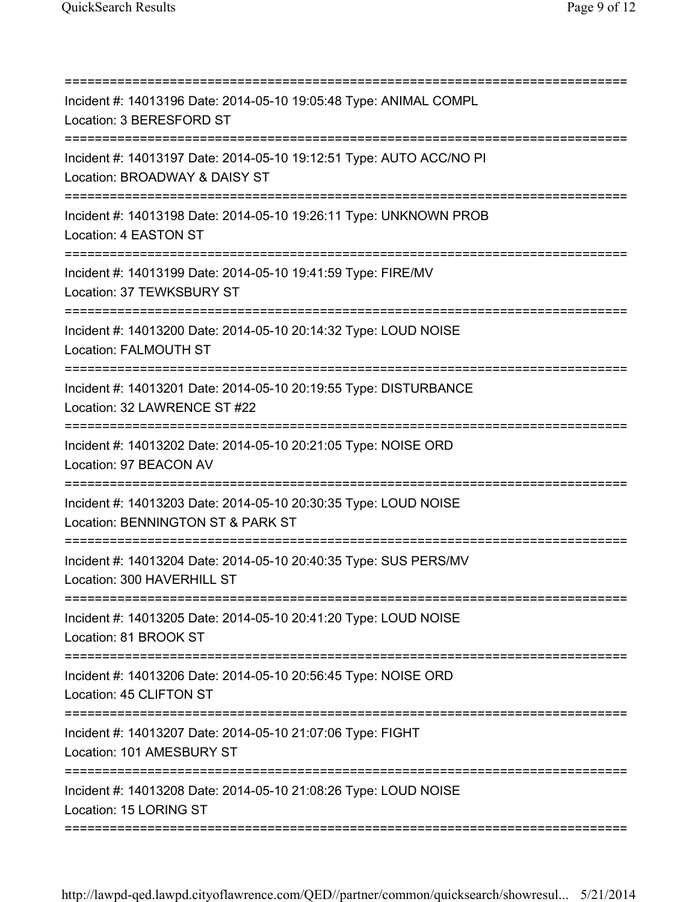| Incident #: 14013196 Date: 2014-05-10 19:05:48 Type: ANIMAL COMPL<br>Location: 3 BERESFORD ST                                    |
|----------------------------------------------------------------------------------------------------------------------------------|
| Incident #: 14013197 Date: 2014-05-10 19:12:51 Type: AUTO ACC/NO PI<br>Location: BROADWAY & DAISY ST                             |
| Incident #: 14013198 Date: 2014-05-10 19:26:11 Type: UNKNOWN PROB<br>Location: 4 EASTON ST                                       |
| Incident #: 14013199 Date: 2014-05-10 19:41:59 Type: FIRE/MV<br>Location: 37 TEWKSBURY ST                                        |
| Incident #: 14013200 Date: 2014-05-10 20:14:32 Type: LOUD NOISE<br>Location: FALMOUTH ST<br>==================================== |
| Incident #: 14013201 Date: 2014-05-10 20:19:55 Type: DISTURBANCE<br>Location: 32 LAWRENCE ST #22                                 |
| Incident #: 14013202 Date: 2014-05-10 20:21:05 Type: NOISE ORD<br>Location: 97 BEACON AV                                         |
| Incident #: 14013203 Date: 2014-05-10 20:30:35 Type: LOUD NOISE<br>Location: BENNINGTON ST & PARK ST<br>-----------------------  |
| Incident #: 14013204 Date: 2014-05-10 20:40:35 Type: SUS PERS/MV<br>Location: 300 HAVERHILL ST                                   |
| Incident #: 14013205 Date: 2014-05-10 20:41:20 Type: LOUD NOISE<br>Location: 81 BROOK ST                                         |
| Incident #: 14013206 Date: 2014-05-10 20:56:45 Type: NOISE ORD<br>Location: 45 CLIFTON ST                                        |
| Incident #: 14013207 Date: 2014-05-10 21:07:06 Type: FIGHT<br>Location: 101 AMESBURY ST                                          |
| Incident #: 14013208 Date: 2014-05-10 21:08:26 Type: LOUD NOISE<br>Location: 15 LORING ST                                        |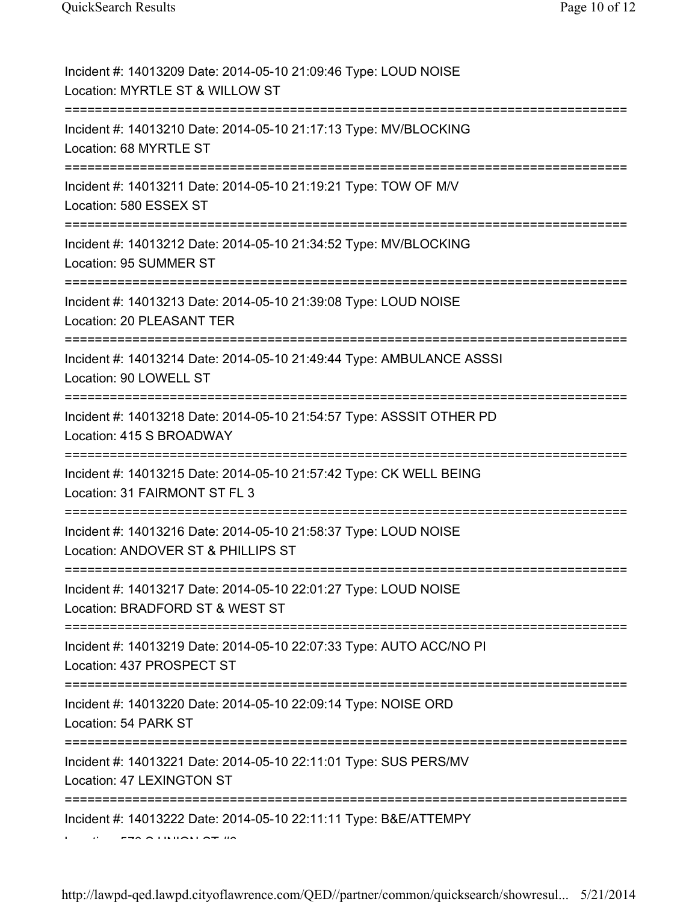| Incident #: 14013209 Date: 2014-05-10 21:09:46 Type: LOUD NOISE<br>Location: MYRTLE ST & WILLOW ST                        |
|---------------------------------------------------------------------------------------------------------------------------|
| Incident #: 14013210 Date: 2014-05-10 21:17:13 Type: MV/BLOCKING<br>Location: 68 MYRTLE ST                                |
| Incident #: 14013211 Date: 2014-05-10 21:19:21 Type: TOW OF M/V<br>Location: 580 ESSEX ST                                 |
| Incident #: 14013212 Date: 2014-05-10 21:34:52 Type: MV/BLOCKING<br>Location: 95 SUMMER ST<br>:======================     |
| Incident #: 14013213 Date: 2014-05-10 21:39:08 Type: LOUD NOISE<br>Location: 20 PLEASANT TER                              |
| Incident #: 14013214 Date: 2014-05-10 21:49:44 Type: AMBULANCE ASSSI<br>Location: 90 LOWELL ST<br>======================= |
| Incident #: 14013218 Date: 2014-05-10 21:54:57 Type: ASSSIT OTHER PD<br>Location: 415 S BROADWAY                          |
| Incident #: 14013215 Date: 2014-05-10 21:57:42 Type: CK WELL BEING<br>Location: 31 FAIRMONT ST FL 3                       |
| Incident #: 14013216 Date: 2014-05-10 21:58:37 Type: LOUD NOISE<br>Location: ANDOVER ST & PHILLIPS ST                     |
| Incident #: 14013217 Date: 2014-05-10 22:01:27 Type: LOUD NOISE<br>Location: BRADFORD ST & WEST ST                        |
| Incident #: 14013219 Date: 2014-05-10 22:07:33 Type: AUTO ACC/NO PI<br>Location: 437 PROSPECT ST                          |
| Incident #: 14013220 Date: 2014-05-10 22:09:14 Type: NOISE ORD<br>Location: 54 PARK ST                                    |
| Incident #: 14013221 Date: 2014-05-10 22:11:01 Type: SUS PERS/MV<br>Location: 47 LEXINGTON ST                             |
| Incident #: 14013222 Date: 2014-05-10 22:11:11 Type: B&E/ATTEMPY                                                          |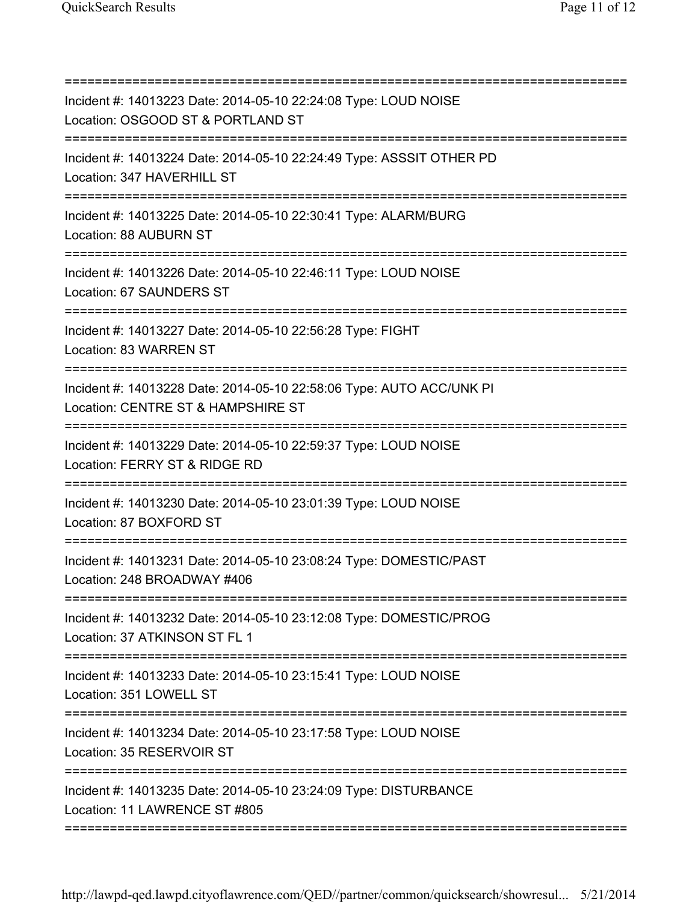| Incident #: 14013223 Date: 2014-05-10 22:24:08 Type: LOUD NOISE<br>Location: OSGOOD ST & PORTLAND ST<br>========================= |
|-----------------------------------------------------------------------------------------------------------------------------------|
| Incident #: 14013224 Date: 2014-05-10 22:24:49 Type: ASSSIT OTHER PD<br>Location: 347 HAVERHILL ST                                |
| Incident #: 14013225 Date: 2014-05-10 22:30:41 Type: ALARM/BURG<br>Location: 88 AUBURN ST                                         |
| Incident #: 14013226 Date: 2014-05-10 22:46:11 Type: LOUD NOISE<br>Location: 67 SAUNDERS ST                                       |
| Incident #: 14013227 Date: 2014-05-10 22:56:28 Type: FIGHT<br>Location: 83 WARREN ST                                              |
| Incident #: 14013228 Date: 2014-05-10 22:58:06 Type: AUTO ACC/UNK PI<br>Location: CENTRE ST & HAMPSHIRE ST                        |
| Incident #: 14013229 Date: 2014-05-10 22:59:37 Type: LOUD NOISE<br>Location: FERRY ST & RIDGE RD                                  |
| ============<br>Incident #: 14013230 Date: 2014-05-10 23:01:39 Type: LOUD NOISE<br>Location: 87 BOXFORD ST                        |
| Incident #: 14013231 Date: 2014-05-10 23:08:24 Type: DOMESTIC/PAST<br>Location: 248 BROADWAY #406                                 |
| ====================<br>Incident #: 14013232 Date: 2014-05-10 23:12:08 Type: DOMESTIC/PROG<br>Location: 37 ATKINSON ST FL 1       |
| Incident #: 14013233 Date: 2014-05-10 23:15:41 Type: LOUD NOISE<br>Location: 351 LOWELL ST                                        |
| Incident #: 14013234 Date: 2014-05-10 23:17:58 Type: LOUD NOISE<br>Location: 35 RESERVOIR ST                                      |
| Incident #: 14013235 Date: 2014-05-10 23:24:09 Type: DISTURBANCE<br>Location: 11 LAWRENCE ST #805                                 |
|                                                                                                                                   |

http://lawpd-qed.lawpd.cityoflawrence.com/QED//partner/common/quicksearch/showresul... 5/21/2014